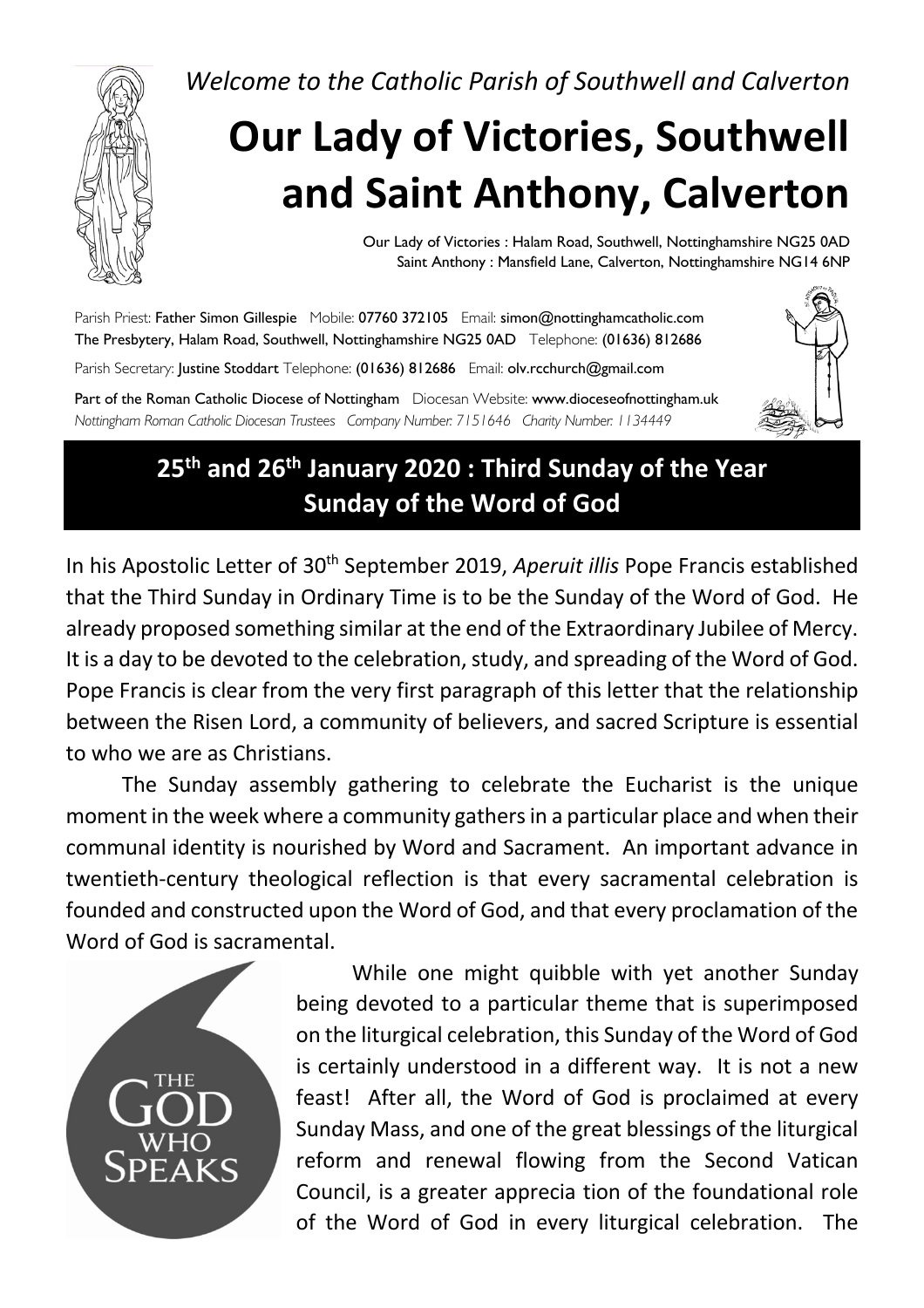*Welcome to the Catholic Parish of Southwell and Calverton*



# **Our Lady of Victories, Southwell and Saint Anthony, Calverton**

Our Lady of Victories : Halam Road, Southwell, Nottinghamshire NG25 0AD Saint Anthony : Mansfield Lane, Calverton, Nottinghamshire NG14 6NP

Parish Priest: Father Simon Gillespie Mobile: 07760 372105 Email: simon@nottinghamcatholic.com The Presbytery, Halam Road, Southwell, Nottinghamshire NG25 0AD Telephone: (01636) 812686

Parish Secretary: Justine Stoddart Telephone: (01636) 812686 Email: olv.rcchurch@gmail.com

Part of the Roman Catholic Diocese of Nottingham Diocesan Website: www.dioceseofnottingham.uk *Nottingham Roman Catholic Diocesan Trustees Company Number: 7151646 Charity Number: 1134449*



## **25th and 26th January 2020 : Third Sunday of the Year Sunday of the Word of God**

In his Apostolic Letter of 30th September 2019, *Aperuit illis* Pope Francis established that the Third Sunday in Ordinary Time is to be the Sunday of the Word of God. He already proposed something similar at the end of the Extraordinary Jubilee of Mercy. It is a day to be devoted to the celebration, study, and spreading of the Word of God. Pope Francis is clear from the very first paragraph of this letter that the relationship between the Risen Lord, a community of believers, and sacred Scripture is essential to who we are as Christians.

The Sunday assembly gathering to celebrate the Eucharist is the unique moment in the week where a community gathers in a particular place and when their communal identity is nourished by Word and Sacrament. An important advance in twentieth-century theological reflection is that every sacramental celebration is founded and constructed upon the Word of God, and that every proclamation of the Word of God is sacramental.



While one might quibble with yet another Sunday being devoted to a particular theme that is superimposed on the liturgical celebration, this Sunday of the Word of God is certainly understood in a different way. It is not a new feast! After all, the Word of God is proclaimed at every Sunday Mass, and one of the great blessings of the liturgical reform and renewal flowing from the Second Vatican Council, is a greater apprecia tion of the foundational role of the Word of God in every liturgical celebration. The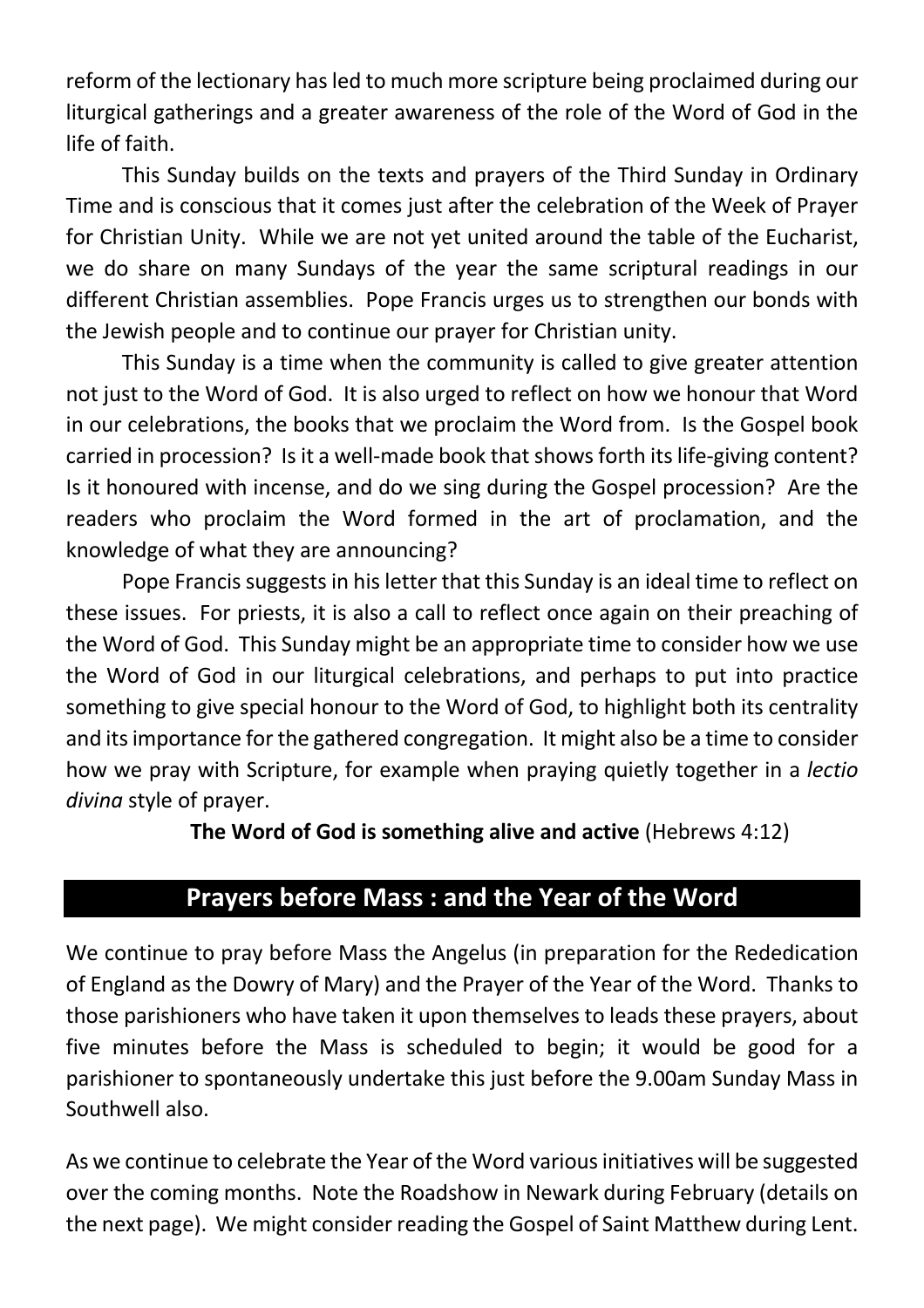reform of the lectionary has led to much more scripture being proclaimed during our liturgical gatherings and a greater awareness of the role of the Word of God in the life of faith.

This Sunday builds on the texts and prayers of the Third Sunday in Ordinary Time and is conscious that it comes just after the celebration of the Week of Prayer for Christian Unity. While we are not yet united around the table of the Eucharist, we do share on many Sundays of the year the same scriptural readings in our different Christian assemblies. Pope Francis urges us to strengthen our bonds with the Jewish people and to continue our prayer for Christian unity.

This Sunday is a time when the community is called to give greater attention not just to the Word of God. It is also urged to reflect on how we honour that Word in our celebrations, the books that we proclaim the Word from. Is the Gospel book carried in procession? Is it a well-made book that shows forth its life-giving content? Is it honoured with incense, and do we sing during the Gospel procession? Are the readers who proclaim the Word formed in the art of proclamation, and the knowledge of what they are announcing?

Pope Francis suggests in his letter that this Sunday is an ideal time to reflect on these issues. For priests, it is also a call to reflect once again on their preaching of the Word of God. This Sunday might be an appropriate time to consider how we use the Word of God in our liturgical celebrations, and perhaps to put into practice something to give special honour to the Word of God, to highlight both its centrality and itsimportance for the gathered congregation. It might also be a time to consider how we pray with Scripture, for example when praying quietly together in a *lectio divina* style of prayer.

**The Word of God is something alive and active** (Hebrews 4:12)

### **Prayers before Mass : and the Year of the Word**

We continue to pray before Mass the Angelus (in preparation for the Rededication of England as the Dowry of Mary) and the Prayer of the Year of the Word. Thanks to those parishioners who have taken it upon themselves to leads these prayers, about five minutes before the Mass is scheduled to begin; it would be good for a parishioner to spontaneously undertake this just before the 9.00am Sunday Mass in Southwell also.

As we continue to celebrate the Year of the Word various initiatives will be suggested over the coming months. Note the Roadshow in Newark during February (details on the next page). We might consider reading the Gospel of Saint Matthew during Lent.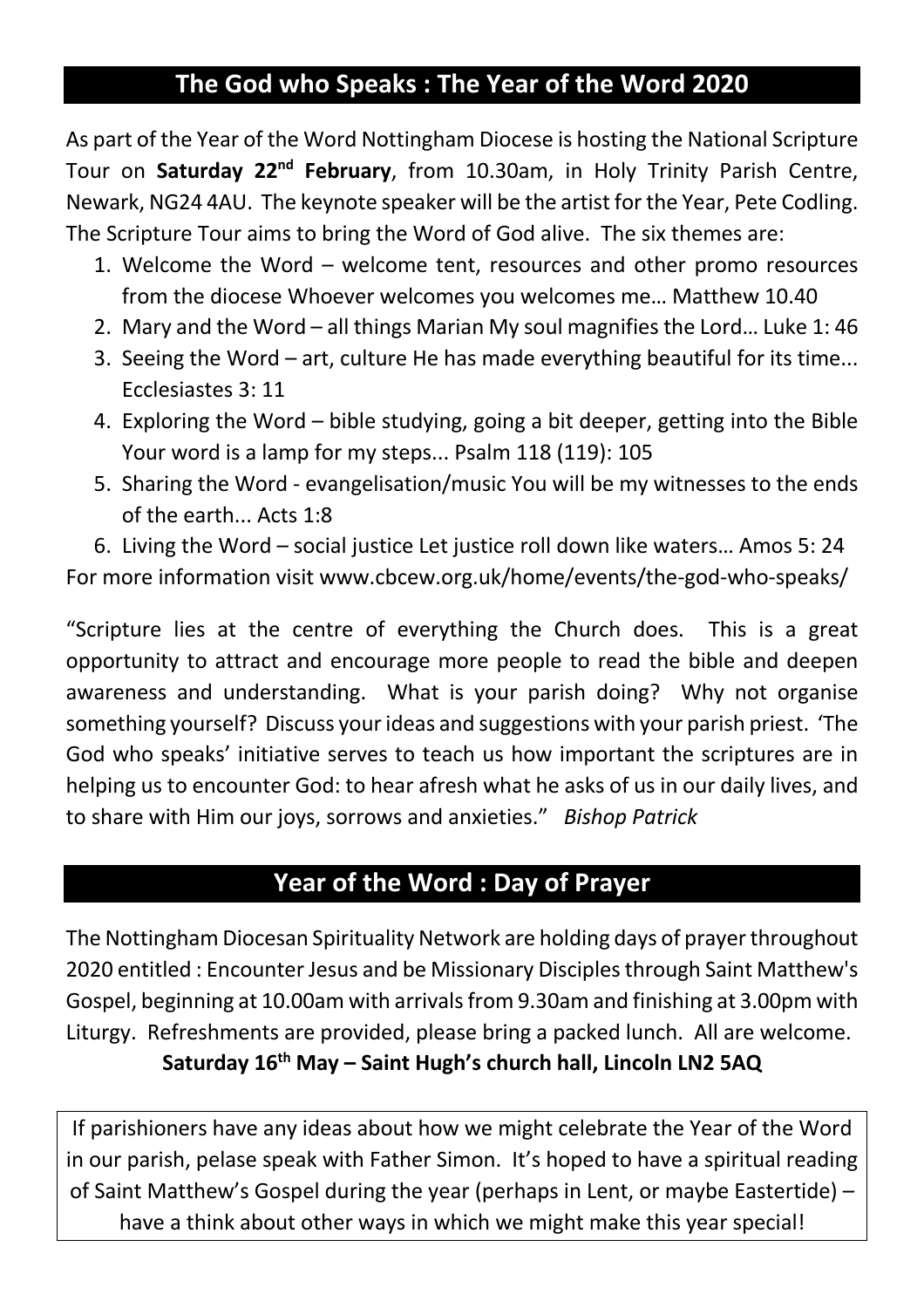### **The God who Speaks : The Year of the Word 2020**

As part of the Year of the Word Nottingham Diocese is hosting the National Scripture Tour on **Saturday 22nd February**, from 10.30am, in Holy Trinity Parish Centre, Newark, NG24 4AU. The keynote speaker will be the artist for the Year, Pete Codling. The Scripture Tour aims to bring the Word of God alive. The six themes are:

- 1. Welcome the Word welcome tent, resources and other promo resources from the diocese Whoever welcomes you welcomes me… Matthew 10.40
- 2. Mary and the Word all things Marian My soul magnifies the Lord… Luke 1: 46
- 3. Seeing the Word art, culture He has made everything beautiful for its time... Ecclesiastes 3: 11
- 4. Exploring the Word bible studying, going a bit deeper, getting into the Bible Your word is a lamp for my steps... Psalm 118 (119): 105
- 5. Sharing the Word evangelisation/music You will be my witnesses to the ends of the earth... Acts 1:8

6. Living the Word – social justice Let justice roll down like waters… Amos 5: 24 For more information visit www.cbcew.org.uk/home/events/the-god-who-speaks/

"Scripture lies at the centre of everything the Church does. This is a great opportunity to attract and encourage more people to read the bible and deepen awareness and understanding. What is your parish doing? Why not organise something yourself? Discuss your ideas and suggestions with your parish priest. 'The God who speaks' initiative serves to teach us how important the scriptures are in helping us to encounter God: to hear afresh what he asks of us in our daily lives, and to share with Him our joys, sorrows and anxieties." *Bishop Patrick*

### **Year of the Word : Day of Prayer**

The Nottingham Diocesan Spirituality Network are holding days of prayer throughout 2020 entitled : Encounter Jesus and be Missionary Disciples through Saint Matthew's Gospel, beginning at 10.00am with arrivals from 9.30am and finishing at 3.00pm with Liturgy. Refreshments are provided, please bring a packed lunch. All are welcome. **Saturday 16th May – Saint Hugh's church hall, Lincoln LN2 5AQ**

If parishioners have any ideas about how we might celebrate the Year of the Word in our parish, pelase speak with Father Simon. It's hoped to have a spiritual reading of Saint Matthew's Gospel during the year (perhaps in Lent, or maybe Eastertide) – have a think about other ways in which we might make this year special!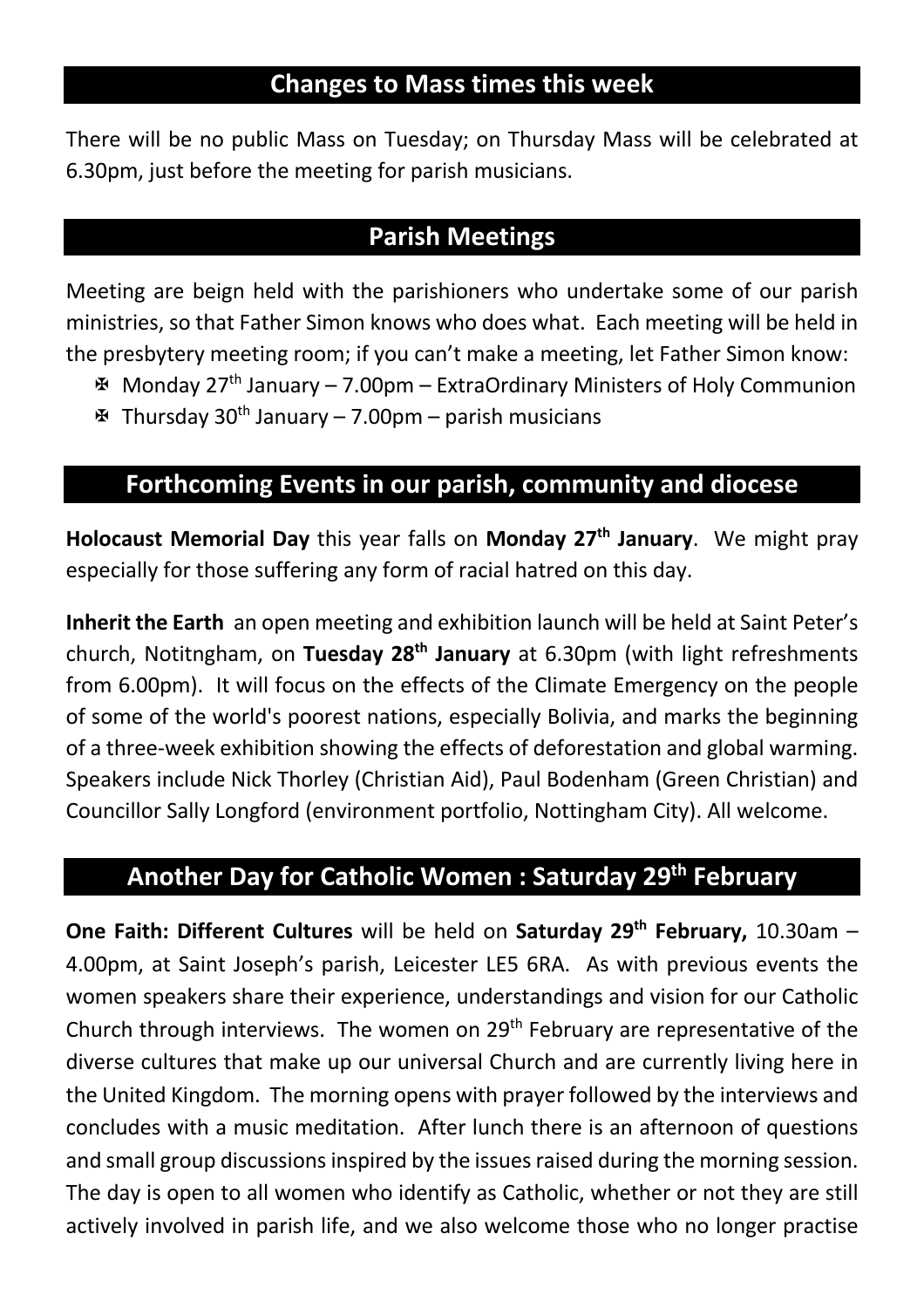### **Changes to Mass times this week**

There will be no public Mass on Tuesday; on Thursday Mass will be celebrated at 6.30pm, just before the meeting for parish musicians.

### **Parish Meetings**

Meeting are beign held with the parishioners who undertake some of our parish ministries, so that Father Simon knows who does what. Each meeting will be held in the presbytery meeting room; if you can't make a meeting, let Father Simon know:

- $\mathbf{\mathcal{F}}$  Monday 27<sup>th</sup> January 7.00pm ExtraOrdinary Ministers of Holy Communion
- $\mathbf{\mathcal{F}}$  Thursday 30<sup>th</sup> January 7.00pm parish musicians

### **Forthcoming Events in our parish, community and diocese**

**Holocaust Memorial Day** this year falls on **Monday 27th January**. We might pray especially for those suffering any form of racial hatred on this day.

**Inherit the Earth** an open meeting and exhibition launch will be held at Saint Peter's church, Notitngham, on **Tuesday 28th January** at 6.30pm (with light refreshments from 6.00pm). It will focus on the effects of the Climate Emergency on the people of some of the world's poorest nations, especially Bolivia, and marks the beginning of a three-week exhibition showing the effects of deforestation and global warming. Speakers include Nick Thorley (Christian Aid), Paul Bodenham (Green Christian) and Councillor Sally Longford (environment portfolio, Nottingham City). All welcome.

### **Another Day for Catholic Women : Saturday 29th February**

**One Faith: Different Cultures** will be held on **Saturday 29<sup>th</sup> February,** 10.30am – 4.00pm, at Saint Joseph's parish, Leicester LE5 6RA. As with previous events the women speakers share their experience, understandings and vision for our Catholic Church through interviews. The women on 29th February are representative of the diverse cultures that make up our universal Church and are currently living here in the United Kingdom. The morning opens with prayer followed by the interviews and concludes with a music meditation. After lunch there is an afternoon of questions and small group discussions inspired by the issues raised during the morning session. The day is open to all women who identify as Catholic, whether or not they are still actively involved in parish life, and we also welcome those who no longer practise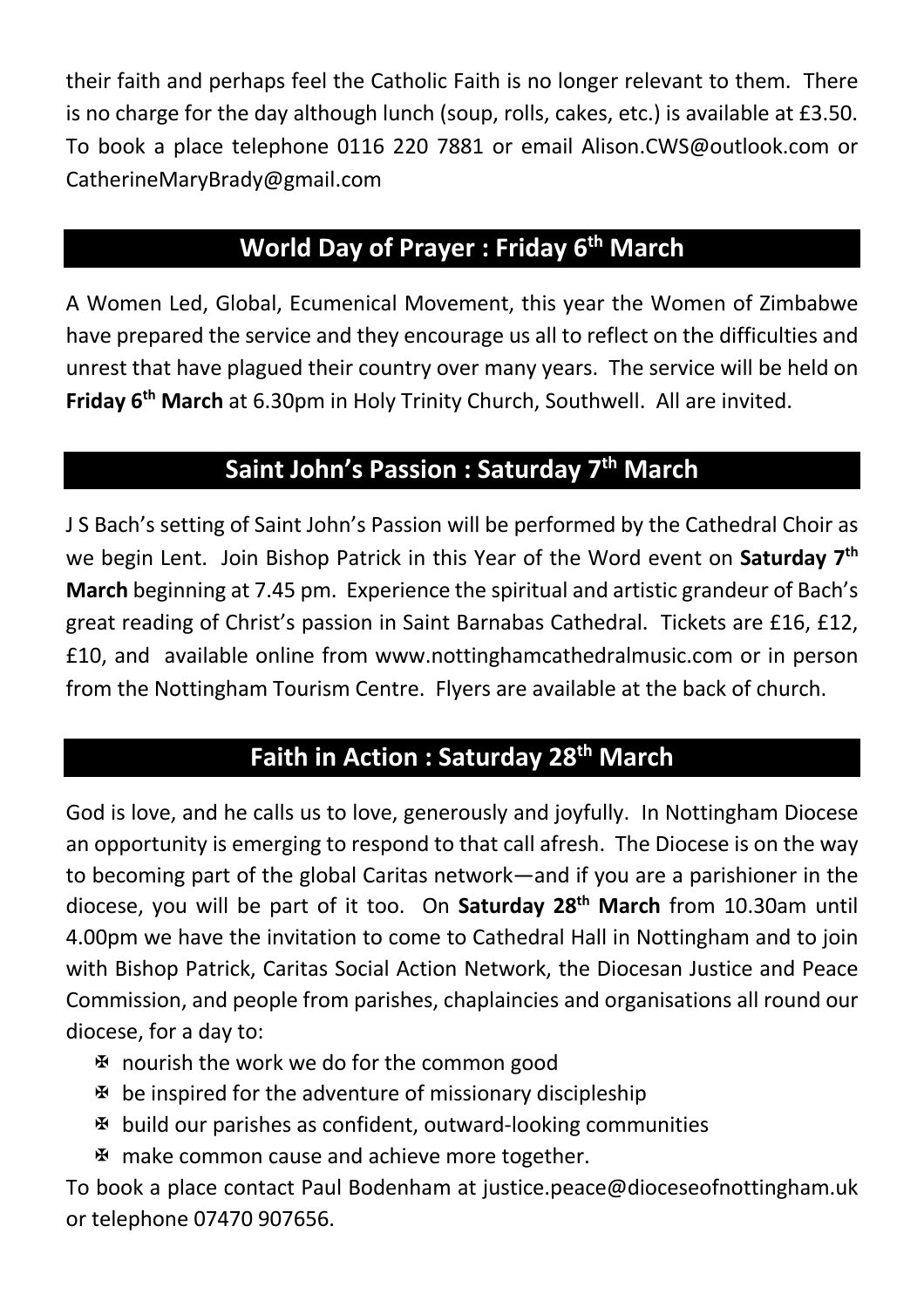their faith and perhaps feel the Catholic Faith is no longer relevant to them. There is no charge for the day although lunch (soup, rolls, cakes, etc.) is available at £3.50. To book a place telephone 0116 220 7881 or email Alison.CWS@outlook.com or CatherineMaryBrady@gmail.com

### **World Day of Prayer : Friday 6th March**

A Women Led, Global, Ecumenical Movement, this year the Women of Zimbabwe have prepared the service and they encourage us all to reflect on the difficulties and unrest that have plagued their country over many years. The service will be held on **Friday 6th March** at 6.30pm in Holy Trinity Church, Southwell. All are invited.

### **Saint John's Passion : Saturday 7th March**

J S Bach's setting of Saint John's Passion will be performed by the Cathedral Choir as we begin Lent. Join Bishop Patrick in this Year of the Word event on **Saturday 7th March** beginning at 7.45 pm. Experience the spiritual and artistic grandeur of Bach's great reading of Christ's passion in Saint Barnabas Cathedral. Tickets are £16, £12, £10, and available online from www.nottinghamcathedralmusic.com or in person from the Nottingham Tourism Centre. Flyers are available at the back of church.

### **Faith in Action : Saturday 28th March**

God is love, and he calls us to love, generously and joyfully. In Nottingham Diocese an opportunity is emerging to respond to that call afresh. The Diocese is on the way to becoming part of the global Caritas network—and if you are a parishioner in the diocese, you will be part of it too. On **Saturday 28th March** from 10.30am until 4.00pm we have the invitation to come to Cathedral Hall in Nottingham and to join with Bishop Patrick, Caritas Social Action Network, the Diocesan Justice and Peace Commission, and people from parishes, chaplaincies and organisations all round our diocese, for a day to:

- X nourish the work we do for the common good
- $\mathfrak F$  be inspired for the adventure of missionary discipleship
- $\mathbf{\Psi}$  build our parishes as confident, outward-looking communities
- X make common cause and achieve more together.

To book a place contact Paul Bodenham at justice.peace@dioceseofnottingham.uk or telephone 07470 907656.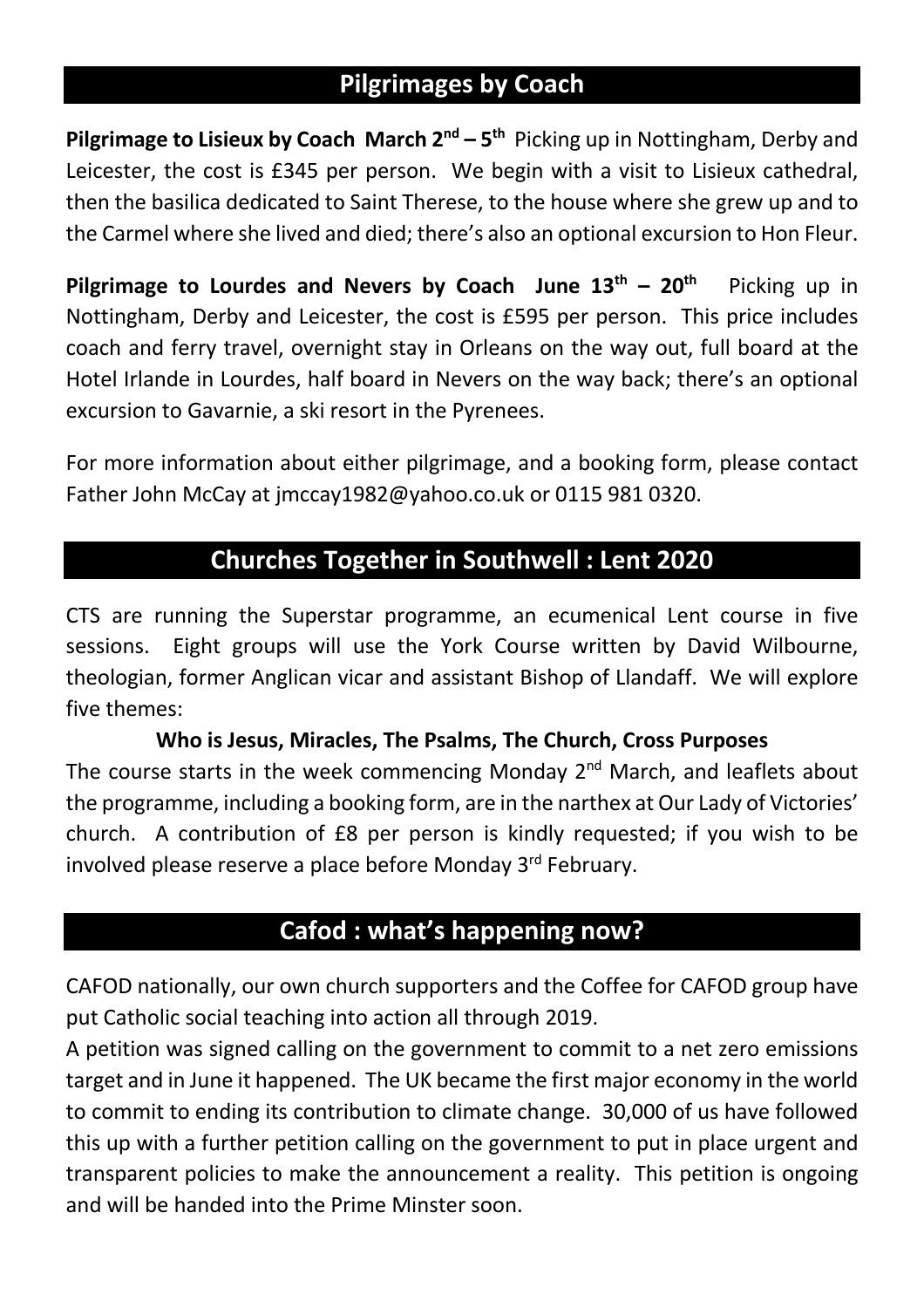### **Pilgrimages by Coach**

**Pilgrimage to Lisieux by Coach March 2nd – 5th** Picking up in Nottingham, Derby and Leicester, the cost is £345 per person. We begin with a visit to Lisieux cathedral, then the basilica dedicated to Saint Therese, to the house where she grew up and to the Carmel where she lived and died; there's also an optional excursion to Hon Fleur.

**Pilgrimage to Lourdes and Nevers by Coach June**  $13^{th}$  **–**  $20^{th}$  **Picking up in** Nottingham, Derby and Leicester, the cost is £595 per person. This price includes coach and ferry travel, overnight stay in Orleans on the way out, full board at the Hotel Irlande in Lourdes, half board in Nevers on the way back; there's an optional excursion to Gavarnie, a ski resort in the Pyrenees.

For more information about either pilgrimage, and a booking form, please contact Father John McCay at jmccay1982@yahoo.co.uk or 0115 981 0320.

### **Churches Together in Southwell : Lent 2020**

CTS are running the Superstar programme, an ecumenical Lent course in five sessions. Eight groups will use the York Course written by David Wilbourne, theologian, former Anglican vicar and assistant Bishop of Llandaff. We will explore five themes:

#### **Who is Jesus, Miracles, The Psalms, The Church, Cross Purposes**

The course starts in the week commencing Monday 2<sup>nd</sup> March, and leaflets about the programme, including a booking form, are in the narthex at Our Lady of Victories' church. A contribution of £8 per person is kindly requested; if you wish to be involved please reserve a place before Monday 3<sup>rd</sup> February.

### **Cafod : what's happening now?**

CAFOD nationally, our own church supporters and the Coffee for CAFOD group have put Catholic social teaching into action all through 2019.

A petition was signed calling on the government to commit to a net zero emissions target and in June it happened. The UK became the first major economy in the world to commit to ending its contribution to climate change. 30,000 of us have followed this up with a further petition calling on the government to put in place urgent and transparent policies to make the announcement a reality. This petition is ongoing and will be handed into the Prime Minster soon.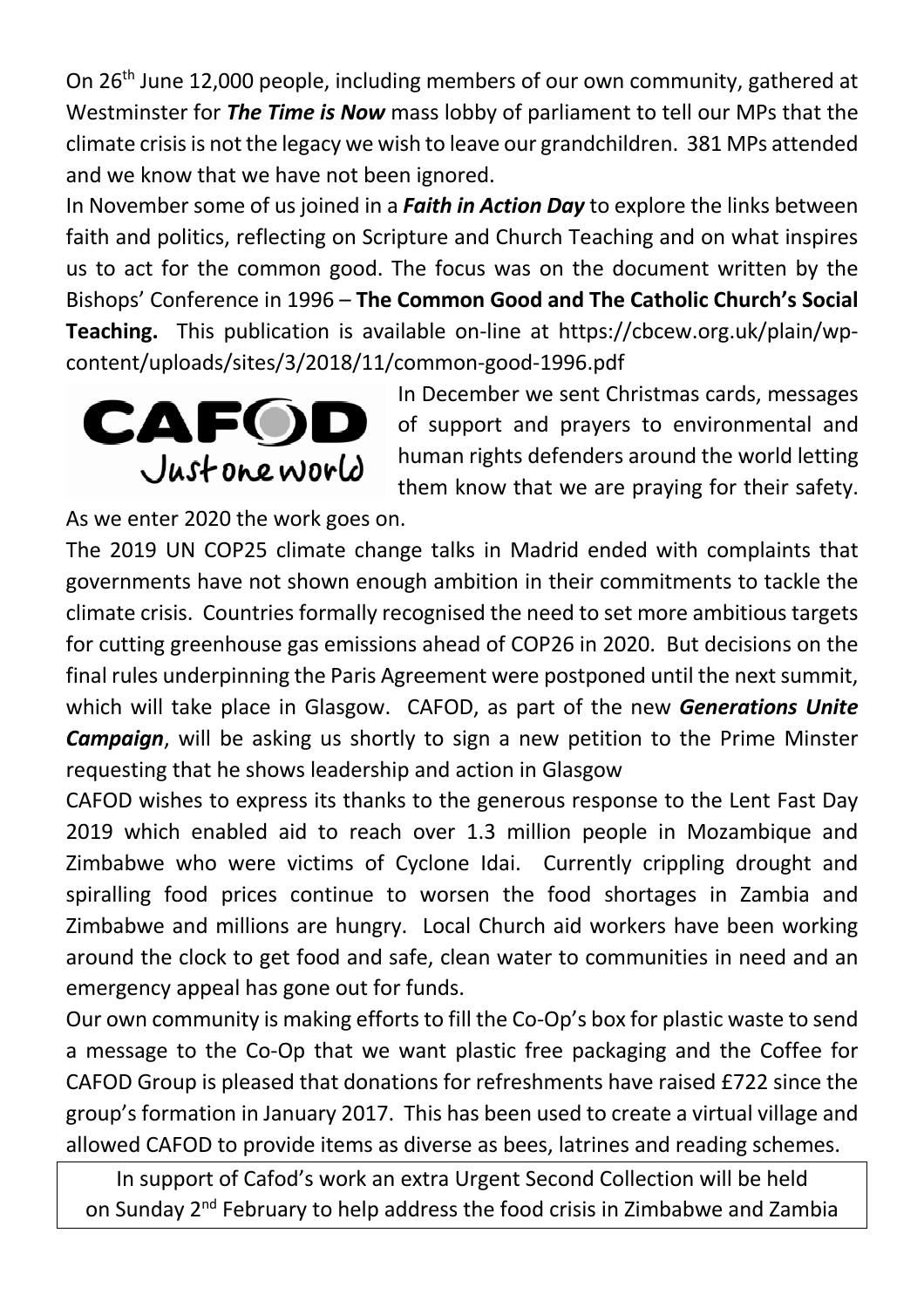On 26th June 12,000 people, including members of our own community, gathered at Westminster for *The Time is Now* mass lobby of parliament to tell our MPs that the climate crisis is not the legacy we wish to leave our grandchildren. 381 MPs attended and we know that we have not been ignored.

In November some of us joined in a *Faith in Action Day* to explore the links between faith and politics, reflecting on Scripture and Church Teaching and on what inspires us to act for the common good. The focus was on the document written by the Bishops' Conference in 1996 – **The Common Good and The Catholic Church's Social Teaching.** This publication is available on-line at https://cbcew.org.uk/plain/wpcontent/uploads/sites/3/2018/11/common-good-1996.pdf



In December we sent Christmas cards, messages of support and prayers to environmental and human rights defenders around the world letting them know that we are praying for their safety.

As we enter 2020 the work goes on.

The 2019 UN COP25 climate change talks in Madrid ended with complaints that governments have not shown enough ambition in their commitments to tackle the climate crisis. Countries formally recognised the need to set more ambitious targets for cutting greenhouse gas emissions ahead of COP26 in 2020. But decisions on the final rules underpinning the Paris Agreement were postponed until the next summit, which will take place in Glasgow. CAFOD, as part of the new *Generations Unite Campaign*, will be asking us shortly to sign a new petition to the Prime Minster requesting that he shows leadership and action in Glasgow

CAFOD wishes to express its thanks to the generous response to the Lent Fast Day 2019 which enabled aid to reach over 1.3 million people in Mozambique and Zimbabwe who were victims of Cyclone Idai. Currently crippling drought and spiralling food prices continue to worsen the food shortages in Zambia and Zimbabwe and millions are hungry. Local Church aid workers have been working around the clock to get food and safe, clean water to communities in need and an emergency appeal has gone out for funds.

Our own community is making efforts to fill the Co-Op's box for plastic waste to send a message to the Co-Op that we want plastic free packaging and the Coffee for CAFOD Group is pleased that donations for refreshments have raised £722 since the group's formation in January 2017. This has been used to create a virtual village and allowed CAFOD to provide items as diverse as bees, latrines and reading schemes.

In support of Cafod's work an extra Urgent Second Collection will be held on Sunday 2<sup>nd</sup> February to help address the food crisis in Zimbabwe and Zambia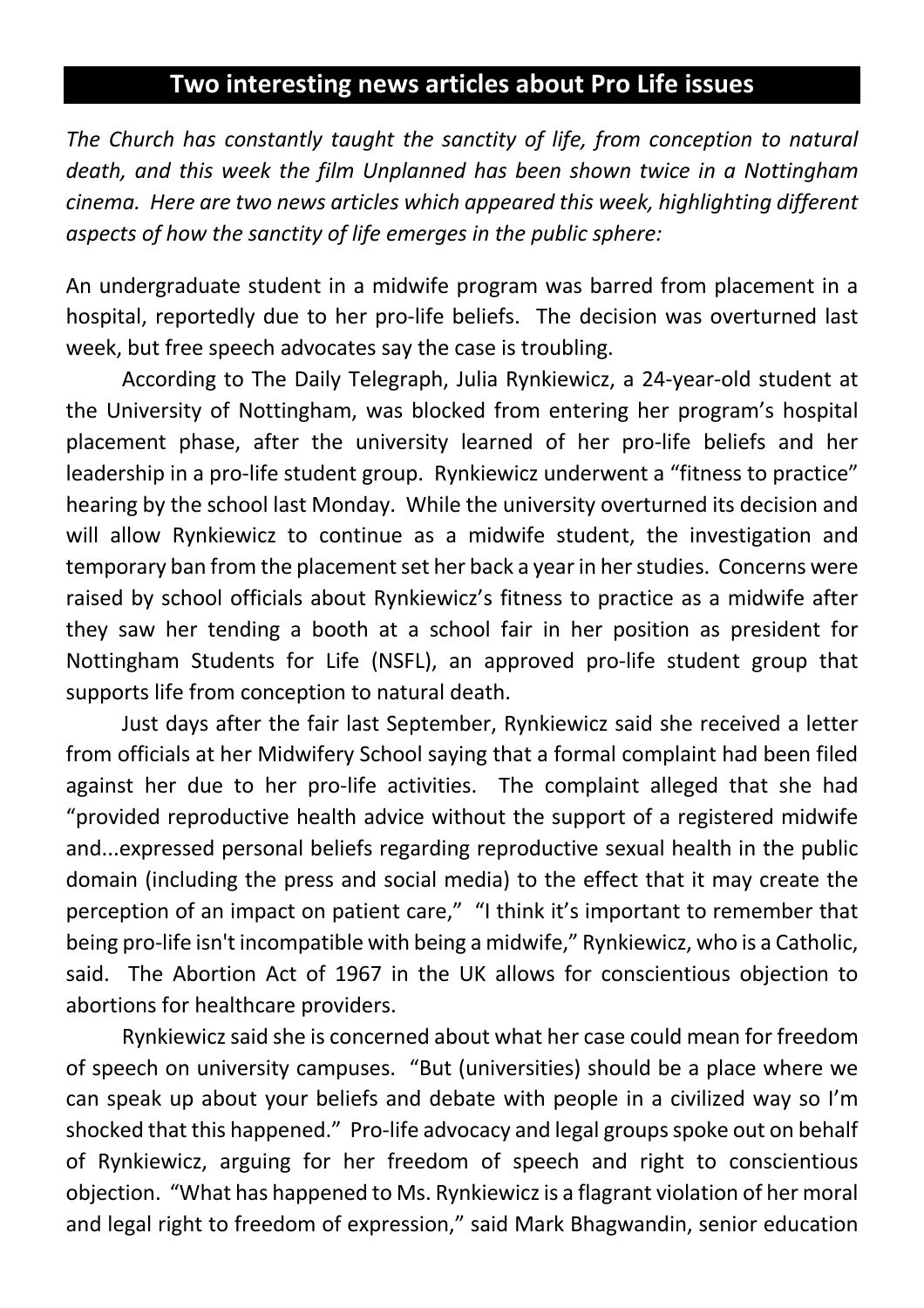### **Two interesting news articles about Pro Life issues**

*The Church has constantly taught the sanctity of life, from conception to natural death, and this week the film Unplanned has been shown twice in a Nottingham cinema. Here are two news articles which appeared this week, highlighting different aspects of how the sanctity of life emerges in the public sphere:*

An undergraduate student in a midwife program was barred from placement in a hospital, reportedly due to her pro-life beliefs. The decision was overturned last week, but free speech advocates say the case is troubling.

According to The Daily Telegraph, Julia Rynkiewicz, a 24-year-old student at the University of Nottingham, was blocked from entering her program's hospital placement phase, after the university learned of her pro-life beliefs and her leadership in a pro-life student group. Rynkiewicz underwent a "fitness to practice" hearing by the school last Monday. While the university overturned its decision and will allow Rynkiewicz to continue as a midwife student, the investigation and temporary ban from the placement set her back a year in her studies. Concerns were raised by school officials about Rynkiewicz's fitness to practice as a midwife after they saw her tending a booth at a school fair in her position as president for Nottingham Students for Life (NSFL), an approved pro-life student group that supports life from conception to natural death.

Just days after the fair last September, Rynkiewicz said she received a letter from officials at her Midwifery School saying that a formal complaint had been filed against her due to her pro-life activities. The complaint alleged that she had "provided reproductive health advice without the support of a registered midwife and...expressed personal beliefs regarding reproductive sexual health in the public domain (including the press and social media) to the effect that it may create the perception of an impact on patient care," "I think it's important to remember that being pro-life isn't incompatible with being a midwife," Rynkiewicz, who is a Catholic, said. The Abortion Act of 1967 in the UK allows for conscientious objection to abortions for healthcare providers.

Rynkiewicz said she is concerned about what her case could mean for freedom of speech on university campuses. "But (universities) should be a place where we can speak up about your beliefs and debate with people in a civilized way so I'm shocked that this happened." Pro-life advocacy and legal groups spoke out on behalf of Rynkiewicz, arguing for her freedom of speech and right to conscientious objection. "What has happened to Ms. Rynkiewicz is a flagrant violation of her moral and legal right to freedom of expression," said Mark Bhagwandin, senior education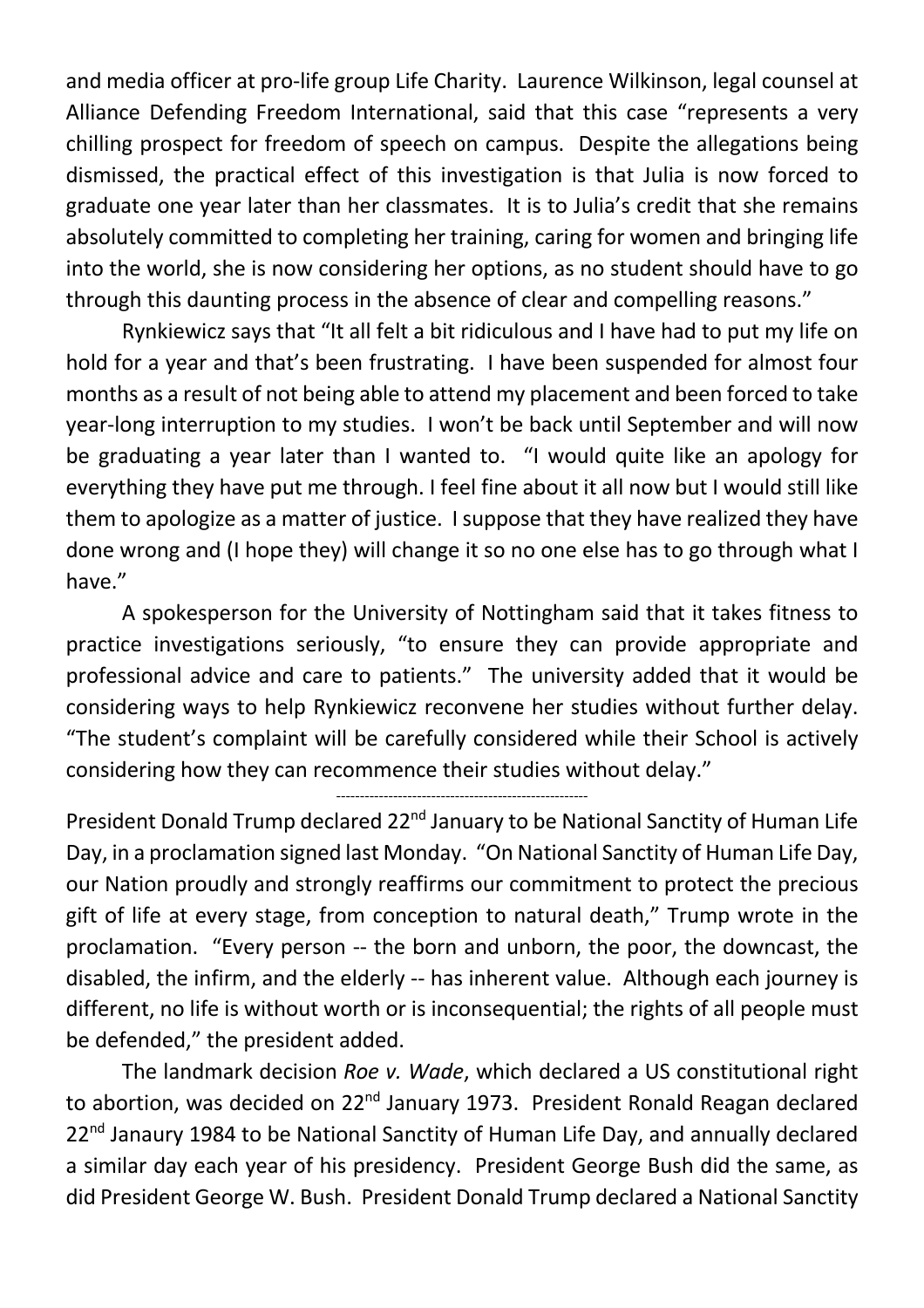and media officer at pro-life group Life Charity. Laurence Wilkinson, legal counsel at Alliance Defending Freedom International, said that this case "represents a very chilling prospect for freedom of speech on campus. Despite the allegations being dismissed, the practical effect of this investigation is that Julia is now forced to graduate one year later than her classmates. It is to Julia's credit that she remains absolutely committed to completing her training, caring for women and bringing life into the world, she is now considering her options, as no student should have to go through this daunting process in the absence of clear and compelling reasons."

Rynkiewicz says that "It all felt a bit ridiculous and I have had to put my life on hold for a year and that's been frustrating. I have been suspended for almost four months as a result of not being able to attend my placement and been forced to take year-long interruption to my studies. I won't be back until September and will now be graduating a year later than I wanted to. "I would quite like an apology for everything they have put me through. I feel fine about it all now but I would still like them to apologize as a matter of justice. I suppose that they have realized they have done wrong and (I hope they) will change it so no one else has to go through what I have."

A spokesperson for the University of Nottingham said that it takes fitness to practice investigations seriously, "to ensure they can provide appropriate and professional advice and care to patients." The university added that it would be considering ways to help Rynkiewicz reconvene her studies without further delay. "The student's complaint will be carefully considered while their School is actively considering how they can recommence their studies without delay."

-----------------------------------------------------

President Donald Trump declared 22<sup>nd</sup> January to be National Sanctity of Human Life Day, in a proclamation signed last Monday. "On National Sanctity of Human Life Day, our Nation proudly and strongly reaffirms our commitment to protect the precious gift of life at every stage, from conception to natural death," Trump wrote in the proclamation. "Every person -- the born and unborn, the poor, the downcast, the disabled, the infirm, and the elderly -- has inherent value. Although each journey is different, no life is without worth or is inconsequential; the rights of all people must be defended," the president added.

The landmark decision *Roe v. Wade*, which declared a US constitutional right to abortion, was decided on 22<sup>nd</sup> January 1973. President Ronald Reagan declared 22<sup>nd</sup> Janaury 1984 to be National Sanctity of Human Life Day, and annually declared a similar day each year of his presidency. President George Bush did the same, as did President George W. Bush. President Donald Trump declared a National Sanctity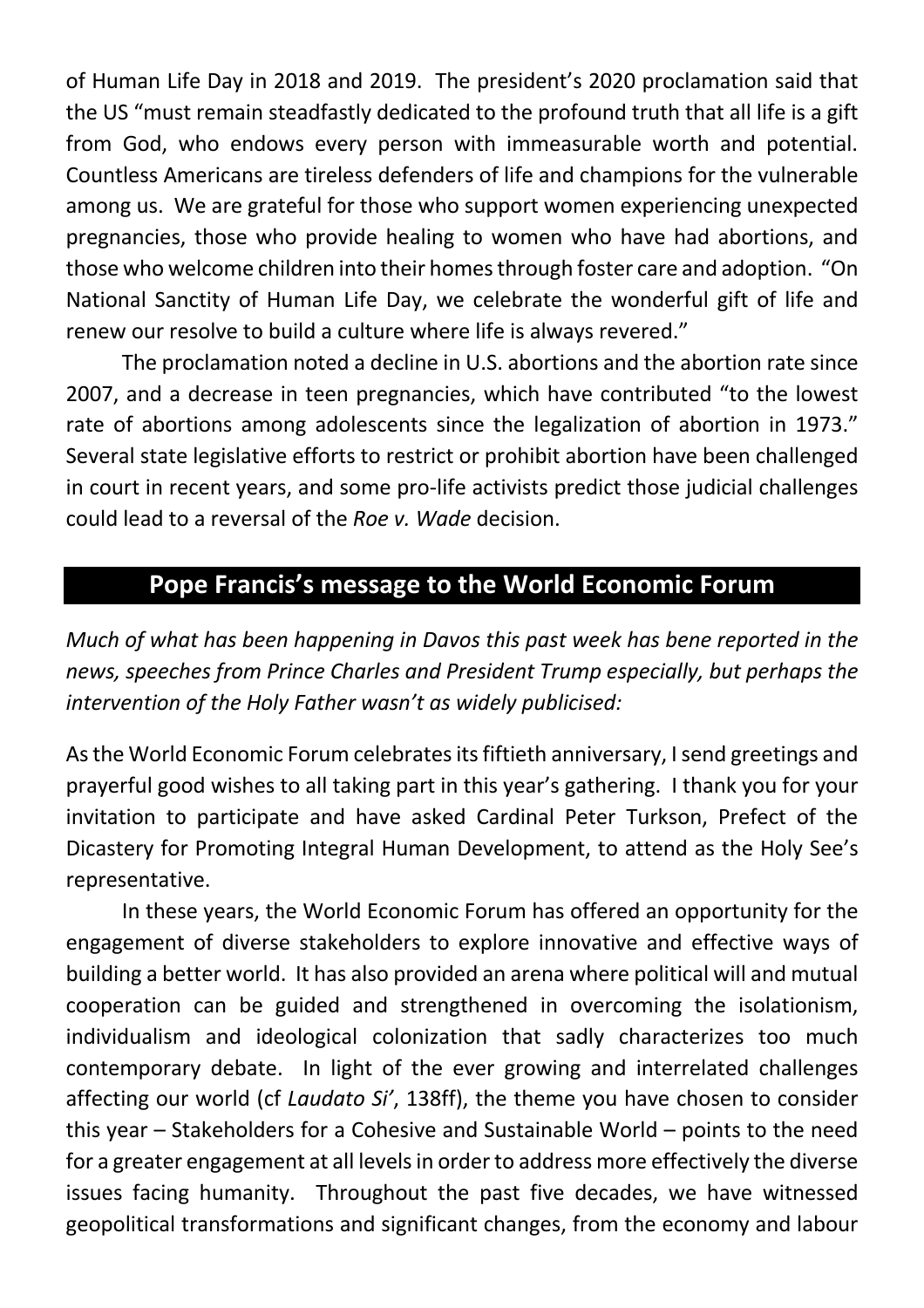of Human Life Day in 2018 and 2019. The president's 2020 proclamation said that the US "must remain steadfastly dedicated to the profound truth that all life is a gift from God, who endows every person with immeasurable worth and potential. Countless Americans are tireless defenders of life and champions for the vulnerable among us. We are grateful for those who support women experiencing unexpected pregnancies, those who provide healing to women who have had abortions, and those who welcome children into their homes through foster care and adoption. "On National Sanctity of Human Life Day, we celebrate the wonderful gift of life and renew our resolve to build a culture where life is always revered."

The proclamation noted a decline in U.S. abortions and the abortion rate since 2007, and a decrease in teen pregnancies, which have contributed "to the lowest rate of abortions among adolescents since the legalization of abortion in 1973." Several state legislative efforts to restrict or prohibit abortion have been challenged in court in recent years, and some pro-life activists predict those judicial challenges could lead to a reversal of the *Roe v. Wade* decision.

### **Pope Francis's message to the World Economic Forum**

*Much of what has been happening in Davos this past week has bene reported in the news, speeches from Prince Charles and President Trump especially, but perhaps the intervention of the Holy Father wasn't as widely publicised:*

As the World Economic Forum celebrates its fiftieth anniversary, I send greetings and prayerful good wishes to all taking part in this year's gathering. I thank you for your invitation to participate and have asked Cardinal Peter Turkson, Prefect of the Dicastery for Promoting Integral Human Development, to attend as the Holy See's representative.

In these years, the World Economic Forum has offered an opportunity for the engagement of diverse stakeholders to explore innovative and effective ways of building a better world. It has also provided an arena where political will and mutual cooperation can be guided and strengthened in overcoming the isolationism, individualism and ideological colonization that sadly characterizes too much contemporary debate. In light of the ever growing and interrelated challenges affecting our world (cf *Laudato Si'*, 138ff), the theme you have chosen to consider this year – Stakeholders for a Cohesive and Sustainable World – points to the need for a greater engagement at all levels in order to address more effectively the diverse issues facing humanity. Throughout the past five decades, we have witnessed geopolitical transformations and significant changes, from the economy and labour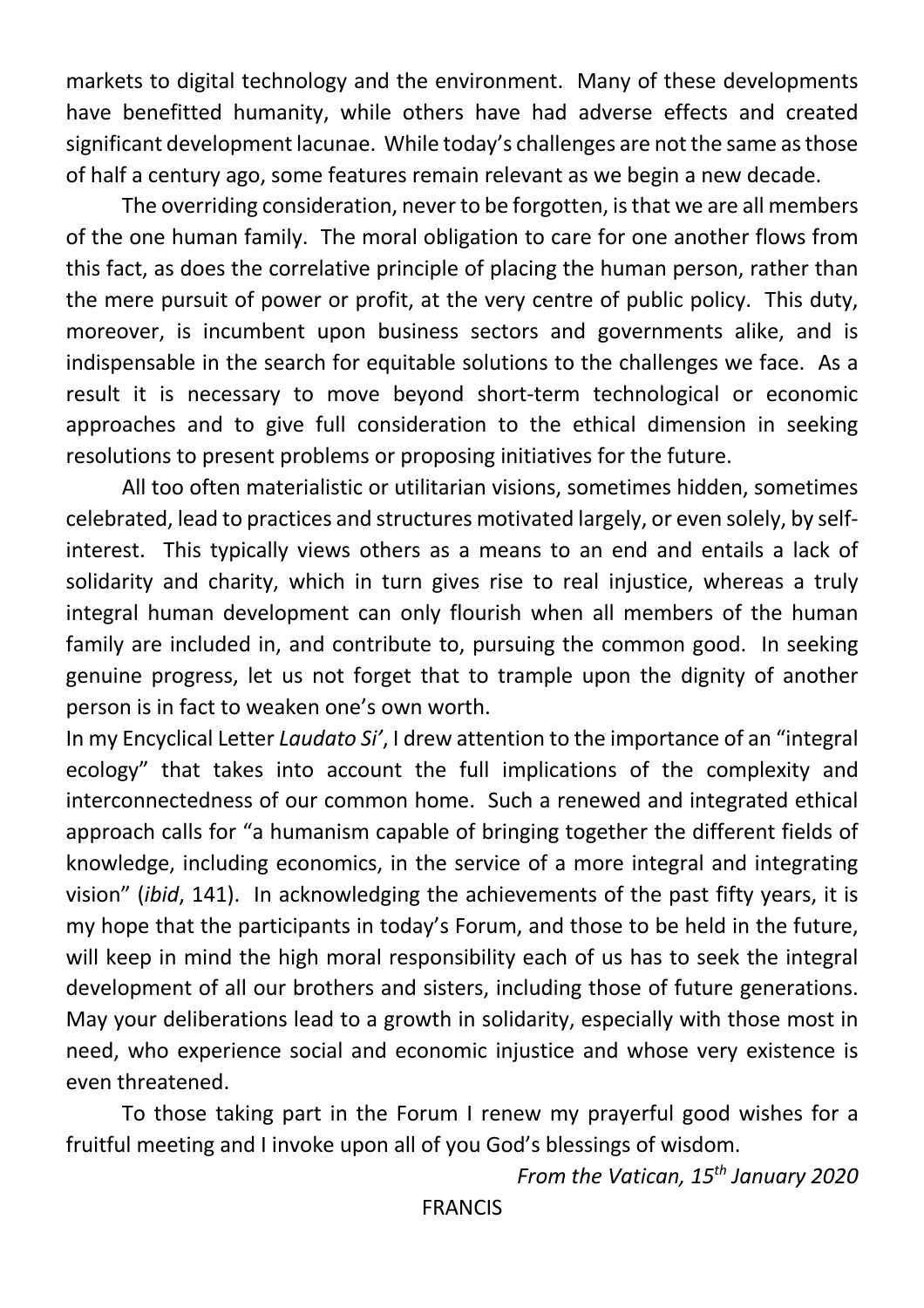markets to digital technology and the environment. Many of these developments have benefitted humanity, while others have had adverse effects and created significant development lacunae. While today's challenges are not the same as those of half a century ago, some features remain relevant as we begin a new decade.

The overriding consideration, never to be forgotten, is that we are all members of the one human family. The moral obligation to care for one another flows from this fact, as does the correlative principle of placing the human person, rather than the mere pursuit of power or profit, at the very centre of public policy. This duty, moreover, is incumbent upon business sectors and governments alike, and is indispensable in the search for equitable solutions to the challenges we face. As a result it is necessary to move beyond short-term technological or economic approaches and to give full consideration to the ethical dimension in seeking resolutions to present problems or proposing initiatives for the future.

All too often materialistic or utilitarian visions, sometimes hidden, sometimes celebrated, lead to practices and structures motivated largely, or even solely, by selfinterest. This typically views others as a means to an end and entails a lack of solidarity and charity, which in turn gives rise to real injustice, whereas a truly integral human development can only flourish when all members of the human family are included in, and contribute to, pursuing the common good. In seeking genuine progress, let us not forget that to trample upon the dignity of another person is in fact to weaken one's own worth.

In my Encyclical Letter *Laudato Si'*, I drew attention to the importance of an "integral ecology" that takes into account the full implications of the complexity and interconnectedness of our common home. Such a renewed and integrated ethical approach calls for "a humanism capable of bringing together the different fields of knowledge, including economics, in the service of a more integral and integrating vision" (*ibid*, 141). In acknowledging the achievements of the past fifty years, it is my hope that the participants in today's Forum, and those to be held in the future, will keep in mind the high moral responsibility each of us has to seek the integral development of all our brothers and sisters, including those of future generations. May your deliberations lead to a growth in solidarity, especially with those most in need, who experience social and economic injustice and whose very existence is even threatened.

To those taking part in the Forum I renew my prayerful good wishes for a fruitful meeting and I invoke upon all of you God's blessings of wisdom.

*From the Vatican, 15th January 2020*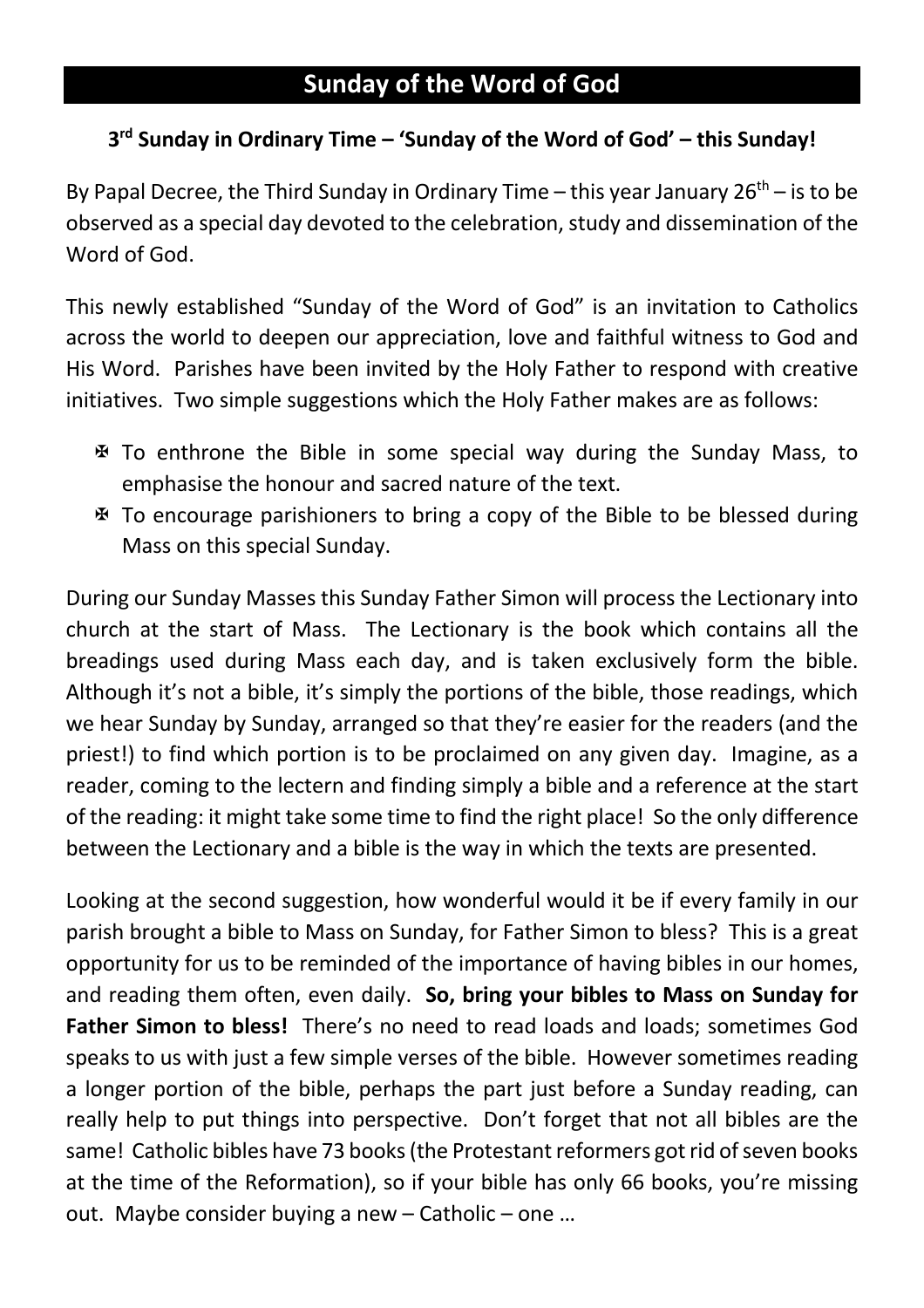### **Sunday of the Word of God**

#### **3rd Sunday in Ordinary Time – 'Sunday of the Word of God' – this Sunday!**

By Papal Decree, the Third Sunday in Ordinary Time – this year January  $26<sup>th</sup>$  – is to be observed as a special day devoted to the celebration, study and dissemination of the Word of God.

This newly established "Sunday of the Word of God" is an invitation to Catholics across the world to deepen our appreciation, love and faithful witness to God and His Word. Parishes have been invited by the Holy Father to respond with creative initiatives. Two simple suggestions which the Holy Father makes are as follows:

- $\mathfrak F$  To enthrone the Bible in some special way during the Sunday Mass, to emphasise the honour and sacred nature of the text.
- X To encourage parishioners to bring a copy of the Bible to be blessed during Mass on this special Sunday.

During our Sunday Masses this Sunday Father Simon will process the Lectionary into church at the start of Mass. The Lectionary is the book which contains all the breadings used during Mass each day, and is taken exclusively form the bible. Although it's not a bible, it's simply the portions of the bible, those readings, which we hear Sunday by Sunday, arranged so that they're easier for the readers (and the priest!) to find which portion is to be proclaimed on any given day. Imagine, as a reader, coming to the lectern and finding simply a bible and a reference at the start of the reading: it might take some time to find the right place! So the only difference between the Lectionary and a bible is the way in which the texts are presented.

Looking at the second suggestion, how wonderful would it be if every family in our parish brought a bible to Mass on Sunday, for Father Simon to bless? This is a great opportunity for us to be reminded of the importance of having bibles in our homes, and reading them often, even daily. **So, bring your bibles to Mass on Sunday for Father Simon to bless!** There's no need to read loads and loads; sometimes God speaks to us with just a few simple verses of the bible. However sometimes reading a longer portion of the bible, perhaps the part just before a Sunday reading, can really help to put things into perspective. Don't forget that not all bibles are the same! Catholic bibles have 73 books (the Protestant reformers got rid of seven books at the time of the Reformation), so if your bible has only 66 books, you're missing out. Maybe consider buying a new – Catholic – one …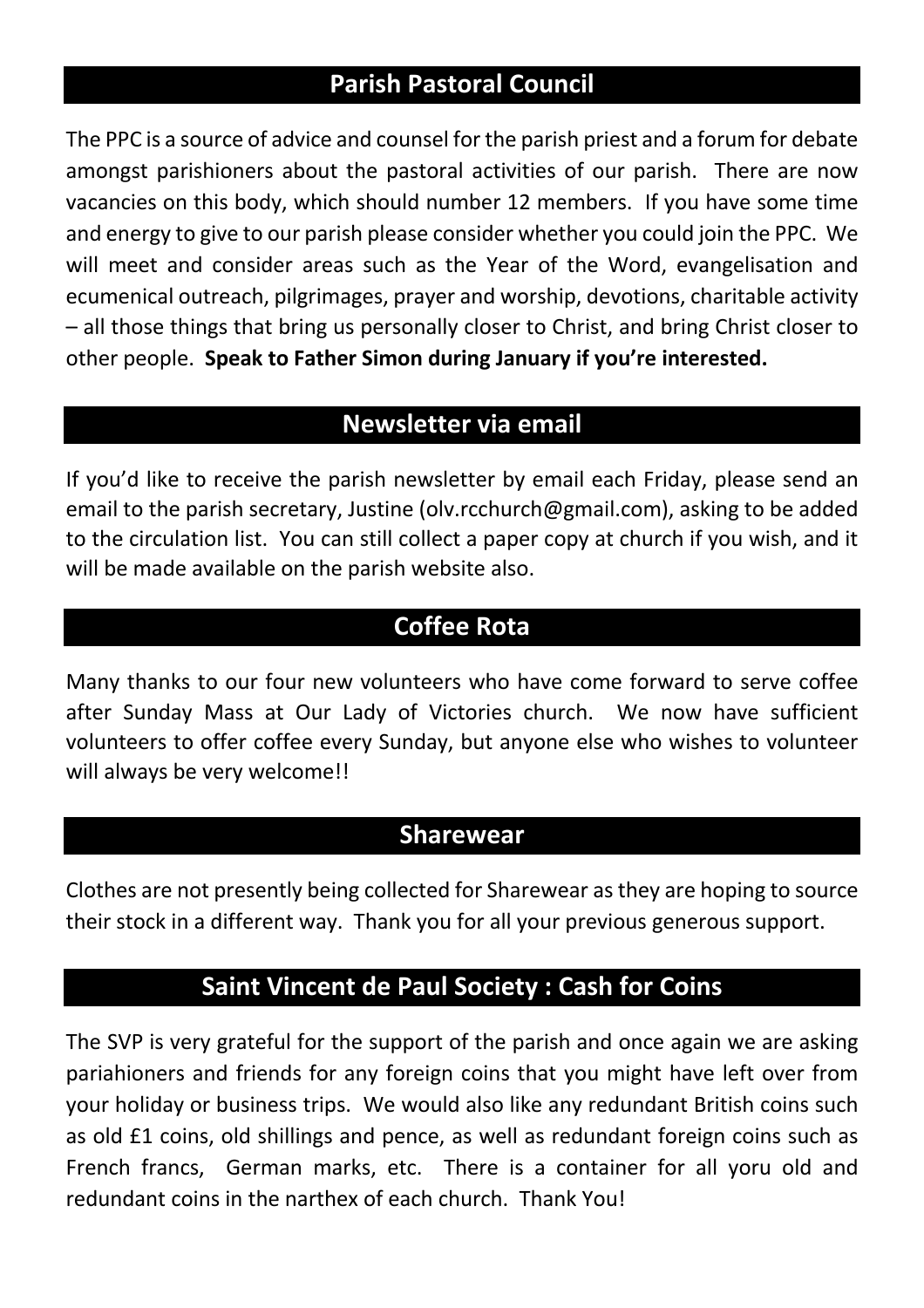### **Parish Pastoral Council**

The PPC is a source of advice and counsel for the parish priest and a forum for debate amongst parishioners about the pastoral activities of our parish. There are now vacancies on this body, which should number 12 members. If you have some time and energy to give to our parish please consider whether you could join the PPC. We will meet and consider areas such as the Year of the Word, evangelisation and ecumenical outreach, pilgrimages, prayer and worship, devotions, charitable activity – all those things that bring us personally closer to Christ, and bring Christ closer to other people. **Speak to Father Simon during January if you're interested.**

### **Newsletter via email**

If you'd like to receive the parish newsletter by email each Friday, please send an email to the parish secretary, Justine (olv.rcchurch@gmail.com), asking to be added to the circulation list. You can still collect a paper copy at church if you wish, and it will be made available on the parish website also.

### **Coffee Rota**

Many thanks to our four new volunteers who have come forward to serve coffee after Sunday Mass at Our Lady of Victories church. We now have sufficient volunteers to offer coffee every Sunday, but anyone else who wishes to volunteer will always be very welcome!!

### **Sharewear**

Clothes are not presently being collected for Sharewear as they are hoping to source their stock in a different way. Thank you for all your previous generous support.

### **Saint Vincent de Paul Society : Cash for Coins**

The SVP is very grateful for the support of the parish and once again we are asking pariahioners and friends for any foreign coins that you might have left over from your holiday or business trips. We would also like any redundant British coins such as old £1 coins, old shillings and pence, as well as redundant foreign coins such as French francs, German marks, etc. There is a container for all yoru old and redundant coins in the narthex of each church. Thank You!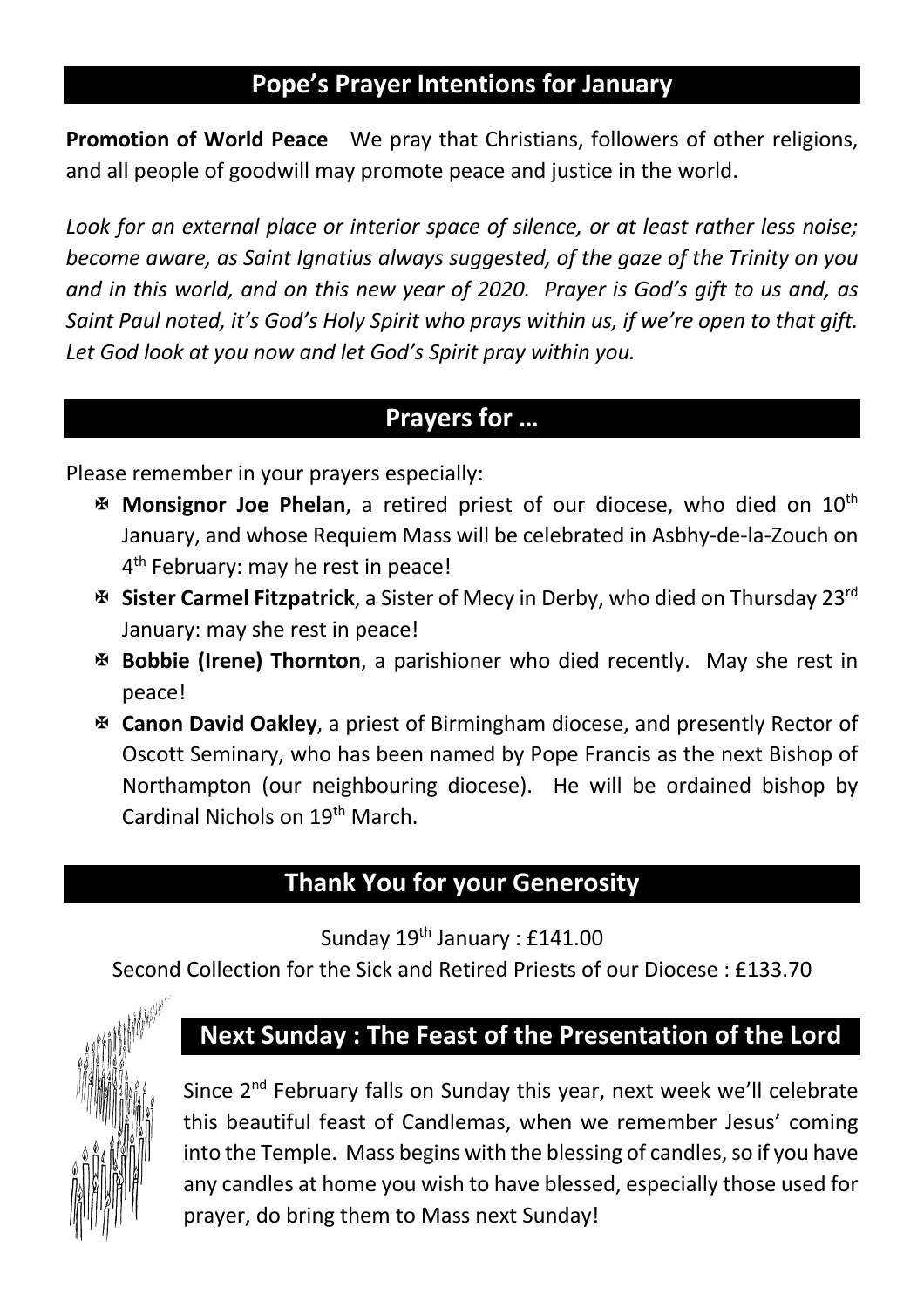### **Pope's Prayer Intentions for January**

**Promotion of World Peace** We pray that Christians, followers of other religions, and all people of goodwill may promote peace and justice in the world.

*Look for an external place or interior space of silence, or at least rather less noise; become aware, as Saint Ignatius always suggested, of the gaze of the Trinity on you and in this world, and on this new year of 2020. Prayer is God's gift to us and, as Saint Paul noted, it's God's Holy Spirit who prays within us, if we're open to that gift. Let God look at you now and let God's Spirit pray within you.*

#### **Prayers for …**

Please remember in your prayers especially:

- **E Monsignor Joe Phelan**, a retired priest of our diocese, who died on 10<sup>th</sup> January, and whose Requiem Mass will be celebrated in Asbhy-de-la-Zouch on 4<sup>th</sup> February: may he rest in peace!
- X **Sister Carmel Fitzpatrick**, a Sister of Mecy in Derby, who died on Thursday 23rd January: may she rest in peace!
- X **Bobbie (Irene) Thornton**, a parishioner who died recently. May she rest in peace!
- X **Canon David Oakley**, a priest of Birmingham diocese, and presently Rector of Oscott Seminary, who has been named by Pope Francis as the next Bishop of Northampton (our neighbouring diocese). He will be ordained bishop by Cardinal Nichols on 19th March.

### **Thank You for your Generosity**

Sunday 19<sup>th</sup> January : £141.00

Second Collection for the Sick and Retired Priests of our Diocese : £133.70



### **Next Sunday : The Feast of the Presentation of the Lord**

Since 2<sup>nd</sup> February falls on Sunday this year, next week we'll celebrate this beautiful feast of Candlemas, when we remember Jesus' coming into the Temple. Mass begins with the blessing of candles, so if you have any candles at home you wish to have blessed, especially those used for prayer, do bring them to Mass next Sunday!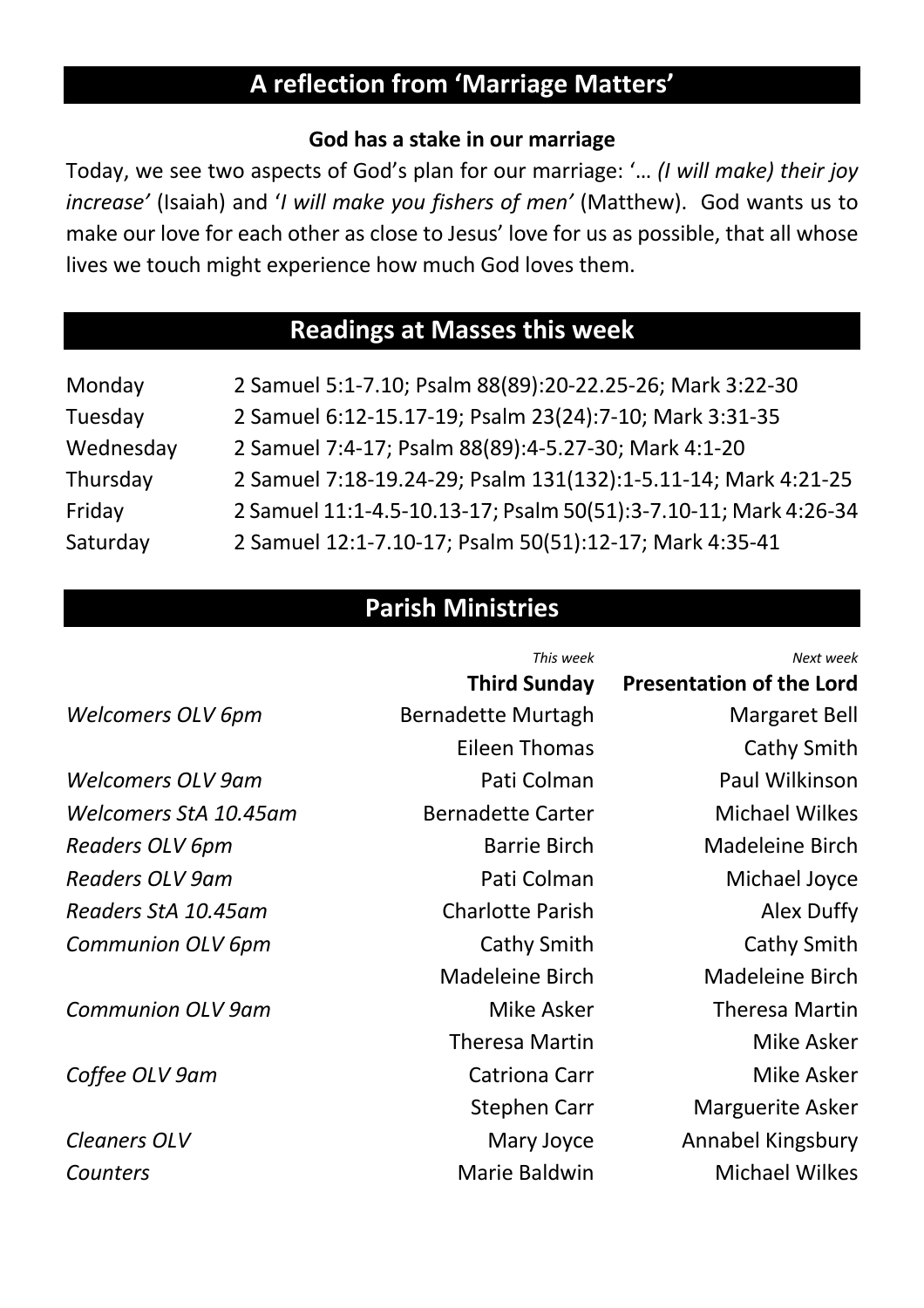# **A reflection from 'Marriage Matters'**

#### **God has a stake in our marriage**

Today, we see two aspects of God's plan for our marriage: '… *(I will make) their joy increase'* (Isaiah) and '*I will make you fishers of men'* (Matthew). God wants us to make our love for each other as close to Jesus' love for us as possible, that all whose lives we touch might experience how much God loves them.

# **Readings at Masses this week**

| Monday    | 2 Samuel 5:1-7.10; Psalm 88(89):20-22.25-26; Mark 3:22-30        |
|-----------|------------------------------------------------------------------|
| Tuesday   | 2 Samuel 6:12-15.17-19; Psalm 23(24):7-10; Mark 3:31-35          |
| Wednesday | 2 Samuel 7:4-17; Psalm 88(89):4-5.27-30; Mark 4:1-20             |
| Thursday  | 2 Samuel 7:18-19.24-29; Psalm 131(132):1-5.11-14; Mark 4:21-25   |
| Friday    | 2 Samuel 11:1-4.5-10.13-17; Psalm 50(51):3-7.10-11; Mark 4:26-34 |
| Saturday  | 2 Samuel 12:1-7.10-17; Psalm 50(51):12-17; Mark 4:35-41          |

### **Parish Ministries**

|                          | This week                 | Next week                       |
|--------------------------|---------------------------|---------------------------------|
|                          | <b>Third Sunday</b>       | <b>Presentation of the Lord</b> |
| Welcomers OLV 6pm        | <b>Bernadette Murtagh</b> | Margaret Bell                   |
|                          | <b>Eileen Thomas</b>      | Cathy Smith                     |
| <b>Welcomers OLV 9am</b> | Pati Colman               | Paul Wilkinson                  |
| Welcomers StA 10.45am    | <b>Bernadette Carter</b>  | <b>Michael Wilkes</b>           |
| Readers OLV 6pm          | <b>Barrie Birch</b>       | <b>Madeleine Birch</b>          |
| <b>Readers OLV 9am</b>   | Pati Colman               | Michael Joyce                   |
| Readers StA 10.45am      | <b>Charlotte Parish</b>   | Alex Duffy                      |
| <b>Communion OLV 6pm</b> | <b>Cathy Smith</b>        | Cathy Smith                     |
|                          | <b>Madeleine Birch</b>    | <b>Madeleine Birch</b>          |
| <b>Communion OLV 9am</b> | Mike Asker                | <b>Theresa Martin</b>           |
|                          | <b>Theresa Martin</b>     | Mike Asker                      |
| Coffee OLV 9am           | <b>Catriona Carr</b>      | Mike Asker                      |
|                          | Stephen Carr              | <b>Marguerite Asker</b>         |
| <b>Cleaners OLV</b>      | Mary Joyce                | Annabel Kingsbury               |
| Counters                 | Marie Baldwin             | <b>Michael Wilkes</b>           |